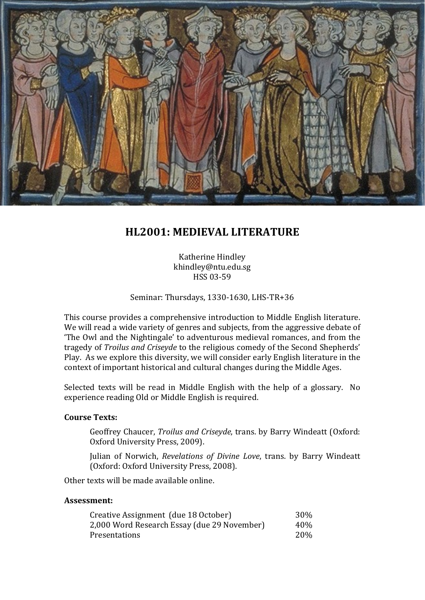

# **HL2001: MEDIEVAL LITERATURE**

Katherine Hindley khindley@ntu.edu.sg HSS 03-59

Seminar: Thursdays, 1330-1630, LHS-TR+36

This course provides a comprehensive introduction to Middle English literature. We will read a wide variety of genres and subjects, from the aggressive debate of 'The Owl and the Nightingale' to adventurous medieval romances, and from the tragedy of *Troilus and Criseyde* to the religious comedy of the Second Shepherds' Play. As we explore this diversity, we will consider early English literature in the context of important historical and cultural changes during the Middle Ages.

Selected texts will be read in Middle English with the help of a glossary. No experience reading Old or Middle English is required.

#### **Course Texts:**

Geoffrey Chaucer, *Troilus and Criseyde*, trans. by Barry Windeatt (Oxford: Oxford University Press, 2009).

Julian of Norwich, *Revelations of Divine Love*, trans. by Barry Windeatt (Oxford: Oxford University Press, 2008).

Other texts will be made available online.

#### **Assessment:**

| Creative Assignment (due 18 October)        | 30%        |
|---------------------------------------------|------------|
| 2,000 Word Research Essay (due 29 November) | 40%        |
| Presentations                               | <b>20%</b> |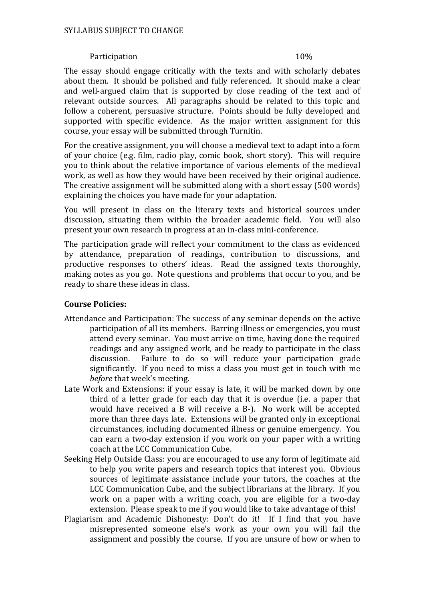#### Participation 10%

The essay should engage critically with the texts and with scholarly debates about them. It should be polished and fully referenced. It should make a clear and well-argued claim that is supported by close reading of the text and of relevant outside sources. All paragraphs should be related to this topic and follow a coherent, persuasive structure. Points should be fully developed and supported with specific evidence. As the major written assignment for this course, your essay will be submitted through Turnitin.

For the creative assignment, you will choose a medieval text to adapt into a form of your choice (e.g. film, radio play, comic book, short story). This will require you to think about the relative importance of various elements of the medieval work, as well as how they would have been received by their original audience. The creative assignment will be submitted along with a short essay (500 words) explaining the choices you have made for your adaptation.

You will present in class on the literary texts and historical sources under discussion, situating them within the broader academic field. You will also present your own research in progress at an in-class mini-conference.

The participation grade will reflect your commitment to the class as evidenced by attendance, preparation of readings, contribution to discussions, and productive responses to others' ideas. Read the assigned texts thoroughly, making notes as you go. Note questions and problems that occur to you, and be ready to share these ideas in class.

#### **Course Policies:**

- Attendance and Participation: The success of any seminar depends on the active participation of all its members. Barring illness or emergencies, you must attend every seminar. You must arrive on time, having done the required readings and any assigned work, and be ready to participate in the class discussion. Failure to do so will reduce your participation grade Failure to do so will reduce your participation grade significantly. If you need to miss a class you must get in touch with me *before* that week's meeting.
- Late Work and Extensions: if your essay is late, it will be marked down by one third of a letter grade for each day that it is overdue (i.e. a paper that would have received a B will receive a B-). No work will be accepted more than three days late. Extensions will be granted only in exceptional circumstances, including documented illness or genuine emergency. You can earn a two-day extension if you work on your paper with a writing coach at the LCC Communication Cube.
- Seeking Help Outside Class: you are encouraged to use any form of legitimate aid to help you write papers and research topics that interest you. Obvious sources of legitimate assistance include your tutors, the coaches at the LCC Communication Cube, and the subject librarians at the library. If you work on a paper with a writing coach, you are eligible for a two-day extension. Please speak to me if you would like to take advantage of this!
- Plagiarism and Academic Dishonesty: Don't do it! If I find that you have misrepresented someone else's work as your own you will fail the assignment and possibly the course. If you are unsure of how or when to